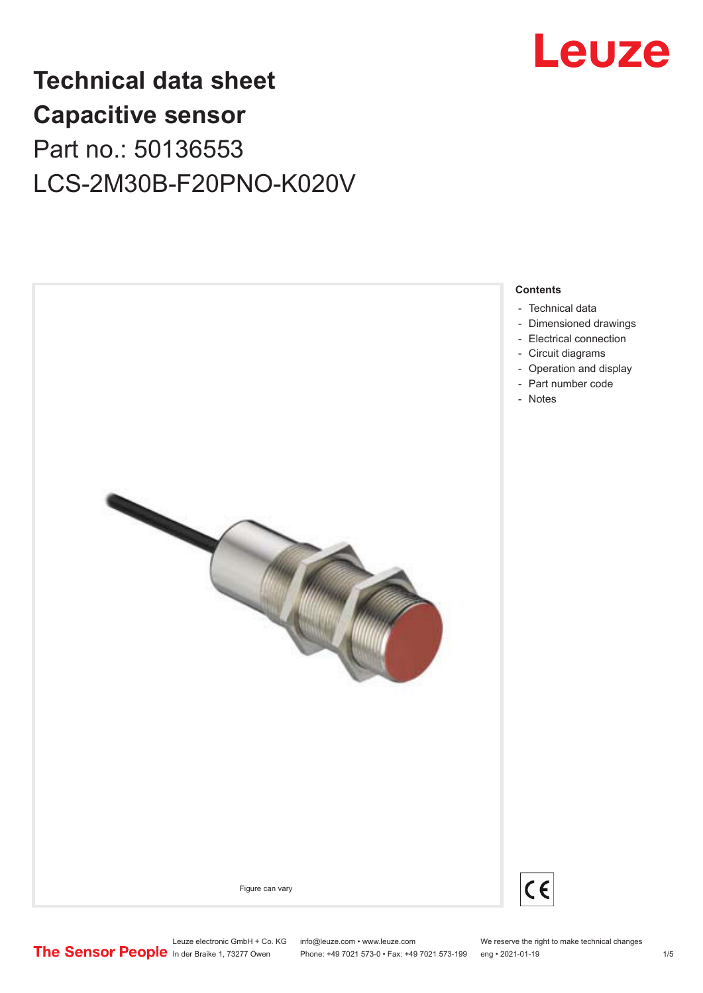

# **Technical data sheet Capacitive sensor** Part no.: 50136553 LCS-2M30B-F20PNO-K020V



Leuze electronic GmbH + Co. KG info@leuze.com • www.leuze.com We reserve the right to make technical changes<br>
The Sensor People in der Braike 1, 73277 Owen Phone: +49 7021 573-0 • Fax: +49 7021 573-199 eng • 2021-01-19 Phone: +49 7021 573-0 • Fax: +49 7021 573-199 eng • 2021-01-19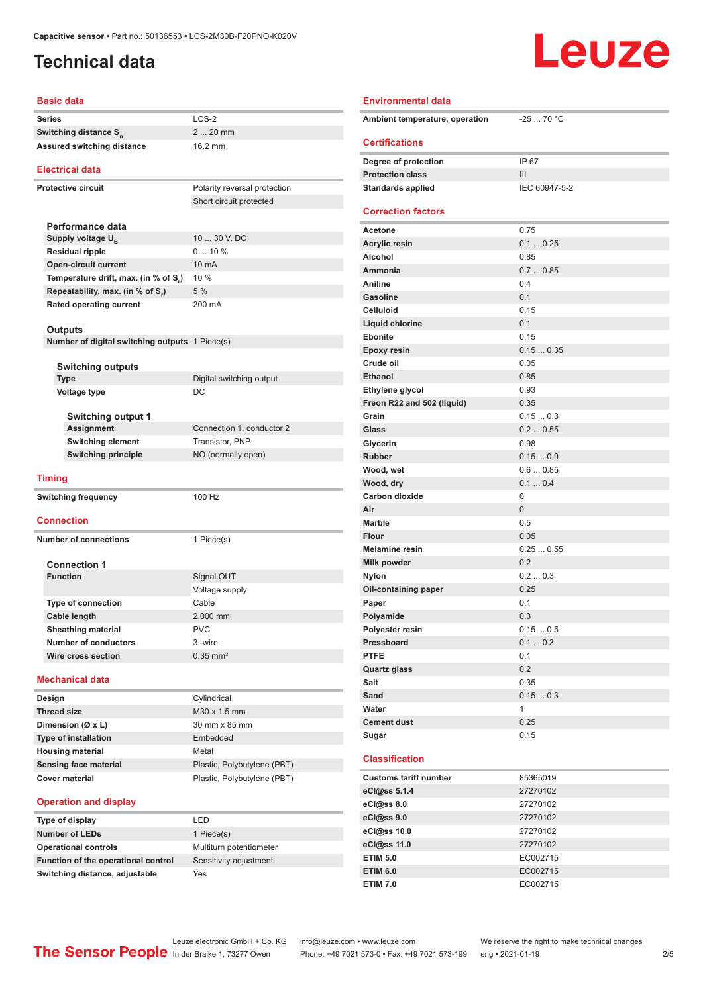# <span id="page-1-0"></span>**Technical data**

# Leuze

| <b>Basic data</b>                                        |                              | <b>Environmental data</b>             |                 |
|----------------------------------------------------------|------------------------------|---------------------------------------|-----------------|
| <b>Series</b>                                            | $LCS-2$                      | Ambient temperature, operation        | $-2570 °C$      |
| Switching distance S <sub>n</sub>                        | $220$ mm                     |                                       |                 |
| <b>Assured switching distance</b>                        | 16.2 mm                      | <b>Certifications</b>                 |                 |
|                                                          |                              | Degree of protection                  | IP 67           |
| <b>Electrical data</b>                                   |                              | <b>Protection class</b>               | III             |
| Protective circuit                                       | Polarity reversal protection | <b>Standards applied</b>              | IEC 60947-5-2   |
|                                                          | Short circuit protected      |                                       |                 |
|                                                          |                              | <b>Correction factors</b>             |                 |
| Performance data                                         | 10  30 V, DC                 | <b>Acetone</b>                        | 0.75            |
| Supply voltage U <sub>B</sub><br><b>Residual ripple</b>  | 010%                         | <b>Acrylic resin</b>                  | 0.10.25         |
| <b>Open-circuit current</b>                              | 10 mA                        | Alcohol                               | 0.85            |
| Temperature drift, max. (in % of S,)                     | 10 %                         | Ammonia                               | 0.70.85         |
| Repeatability, max. (in % of S.)                         | 5 %                          | Aniline                               | 0.4             |
| Rated operating current                                  | 200 mA                       | <b>Gasoline</b>                       | 0.1             |
|                                                          |                              | <b>Celluloid</b>                      | 0.15            |
| <b>Outputs</b>                                           |                              | Liquid chlorine                       | 0.1             |
| Number of digital switching outputs 1 Piece(s)           |                              | <b>Ebonite</b>                        | 0.15            |
|                                                          |                              | Epoxy resin                           | 0.150.35        |
| <b>Switching outputs</b>                                 |                              | Crude oil                             | 0.05            |
| <b>Type</b>                                              | Digital switching output     | <b>Ethanol</b>                        | 0.85            |
| Voltage type                                             | DC                           | Ethylene glycol                       | 0.93            |
|                                                          |                              | Freon R22 and 502 (liquid)            | 0.35            |
| <b>Switching output 1</b>                                |                              | Grain                                 | 0.150.3         |
| <b>Assignment</b>                                        | Connection 1, conductor 2    | Glass                                 | 0.20.55         |
| <b>Switching element</b>                                 | Transistor, PNP              | Glycerin                              | 0.98            |
| <b>Switching principle</b>                               | NO (normally open)           | <b>Rubber</b>                         | 0.150.9         |
| <b>Timing</b>                                            |                              | Wood, wet                             | 0.60.85         |
|                                                          |                              | Wood, dry                             | 0.10.4          |
| <b>Switching frequency</b>                               | 100 Hz                       | <b>Carbon dioxide</b>                 | $\mathbf 0$     |
| Connection                                               |                              | Air                                   | $\mathbf{0}$    |
|                                                          |                              | <b>Marble</b>                         | 0.5             |
| <b>Number of connections</b>                             | 1 Piece(s)                   | <b>Flour</b><br><b>Melamine resin</b> | 0.05            |
|                                                          |                              |                                       | 0.250.55<br>0.2 |
| <b>Connection 1</b><br><b>Function</b>                   |                              | Milk powder                           | 0.20.3          |
|                                                          | Signal OUT                   | Nylon                                 | 0.25            |
|                                                          | Voltage supply               | Oil-containing paper                  | 0.1             |
| <b>Type of connection</b>                                | Cable<br>2,000 mm            | Paper<br>Polyamide                    | 0.3             |
| Cable length                                             | <b>PVC</b>                   | Polyester resin                       | 0.150.5         |
| <b>Sheathing material</b><br><b>Number of conductors</b> | 3-wire                       | Pressboard                            | 0.10.3          |
| Wire cross section                                       | $0.35$ mm <sup>2</sup>       | <b>PTFE</b>                           | 0.1             |
|                                                          |                              | <b>Quartz glass</b>                   | 0.2             |
| <b>Mechanical data</b>                                   |                              | Salt                                  | 0.35            |
|                                                          |                              | Sand                                  | 0.150.3         |
| Design<br><b>Thread size</b>                             | Cylindrical<br>M30 x 1.5 mm  | Water                                 | $\mathbf{1}$    |
| Dimension (Ø x L)                                        | 30 mm x 85 mm                | <b>Cement dust</b>                    | 0.25            |
| <b>Type of installation</b>                              | Embedded                     | Sugar                                 | 0.15            |
| <b>Housing material</b>                                  | Metal                        |                                       |                 |
| <b>Sensing face material</b>                             | Plastic, Polybutylene (PBT)  | <b>Classification</b>                 |                 |
| <b>Cover material</b>                                    | Plastic, Polybutylene (PBT)  | <b>Customs tariff number</b>          | 85365019        |
|                                                          |                              | eCl@ss 5.1.4                          | 27270102        |
| <b>Operation and display</b>                             |                              | eCl@ss 8.0                            | 27270102        |
| Type of display                                          | LED                          | eCl@ss 9.0                            | 27270102        |
|                                                          |                              |                                       |                 |

### **Ammonia** 0.7 ... 0.85 **Aniline** 0.4 **Gasoline** 0.1 **Celluloid** 0.15 **Liquid chlorine** 0.1 **Ebonite** 0.15 **Epoxy resin** 0.15 ... 0.35 **Crude oil** 0.05 **Ethanol** 0.85 **Ethylene glycol** 0.93 **Freon R22 and 502 (liquid)** 0.35 **Grain** 0.15 ... 0.3 **Glass** 0.2 ... 0.55 **Glycerin** 0.98 **Rubber** 0.15 ... 0.9 **Wood, wet** 0.6 ... 0.85 **Wood, dry** 0.1 ... 0.4 **Carbon dioxide** 0 **Air** 0 Marble 0.5 **Flour** 0.05 **Melamine resin** 0.25 ... 0.55 **Milk powder** 0.2 **Nylon** 0.2 ... 0.3 **Oil-containing paper** 0.25 **Paper** 0.1 **Polyamide** 0.3 **Polyester resin** 0.15 ... 0.5 **Pressboard** 0.1 ... 0.3 **PTFE** 0.1 **Quartz glass** 0.2 **Salt** 0.35 **Sand** 0.15 ... 0.3 **Water** 1 **Cement dust** 0.25 **Sugar** 0.15 **Classification Customs tariff number** 85365019 **eCl@ss 5.1.4** 27270102 **eCl@ss 8.0** 27270102 **eCl@ss 9.0** 27270102 **eCl@ss 10.0** 27270102 **eCl@ss 11.0** 27270102 **ETIM 5.0** EC002715

**Switching distance, adjustable** Yes

**Number of LEDs** 1 Piece(s)

**Operational controls** Multiturn potentiometer **Function of the operational control** Sensitivity adjustment

Leuze electronic GmbH + Co. KG info@leuze.com • www.leuze.com We reserve the right to make technical changes<br>
The Sensor People in der Braike 1, 73277 Owen Phone: +49 7021 573-0 • Fax: +49 7021 573-199 eng • 2021-01-19 Phone: +49 7021 573-0 • Fax: +49 7021 573-199 eng • 2021-01-19 2/5

**ETIM 6.0** EC002715 **ETIM 7.0** EC002715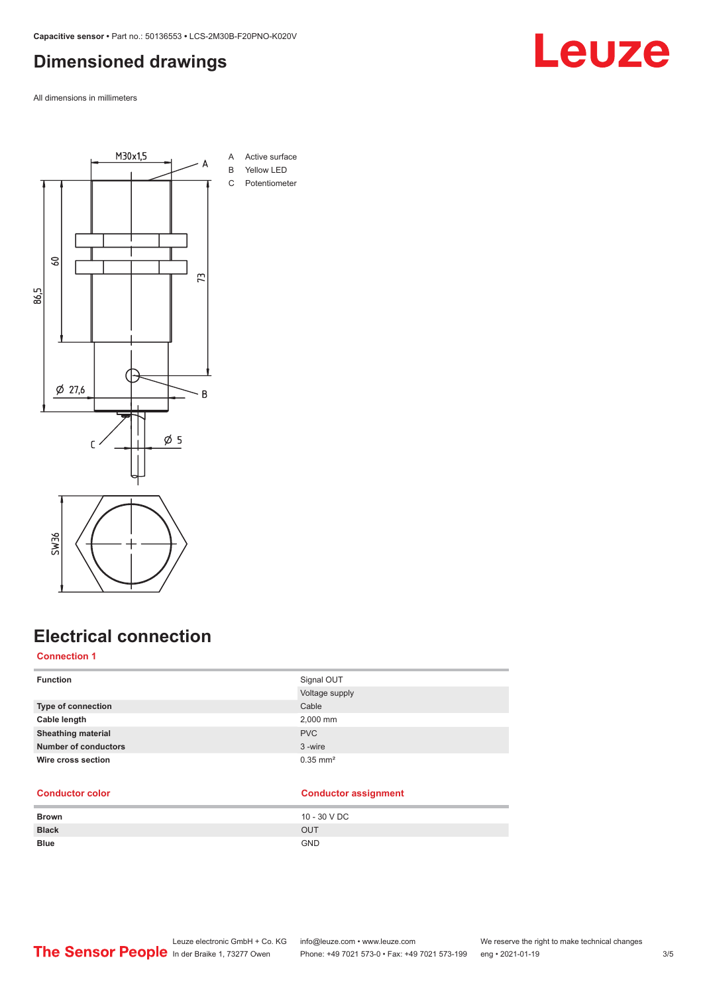### <span id="page-2-0"></span>**Dimensioned drawings**

All dimensions in millimeters



# **Electrical connection**

### **Connection 1**

| <b>Function</b>           | Signal OUT             |
|---------------------------|------------------------|
|                           | Voltage supply         |
| Type of connection        | Cable                  |
| Cable length              | 2,000 mm               |
| <b>Sheathing material</b> | <b>PVC</b>             |
| Number of conductors      | 3-wire                 |
| Wire cross section        | $0.35$ mm <sup>2</sup> |
|                           |                        |

### **Conductor color Conductor assignment**

| <b>Brown</b> | 10 - 30 V DC |
|--------------|--------------|
| <b>Black</b> | <b>OUT</b>   |
| <b>Blue</b>  | <b>GND</b>   |

### Leuze electronic GmbH + Co. KG info@leuze.com • www.leuze.com We reserve the right to make technical changes<br>
The Sensor People in der Braike 1, 73277 Owen Phone: +49 7021 573-0 • Fax: +49 7021 573-199 eng • 2021-01-19 Phone: +49 7021 573-0 • Fax: +49 7021 573-199 eng • 2021-01-19 3/5

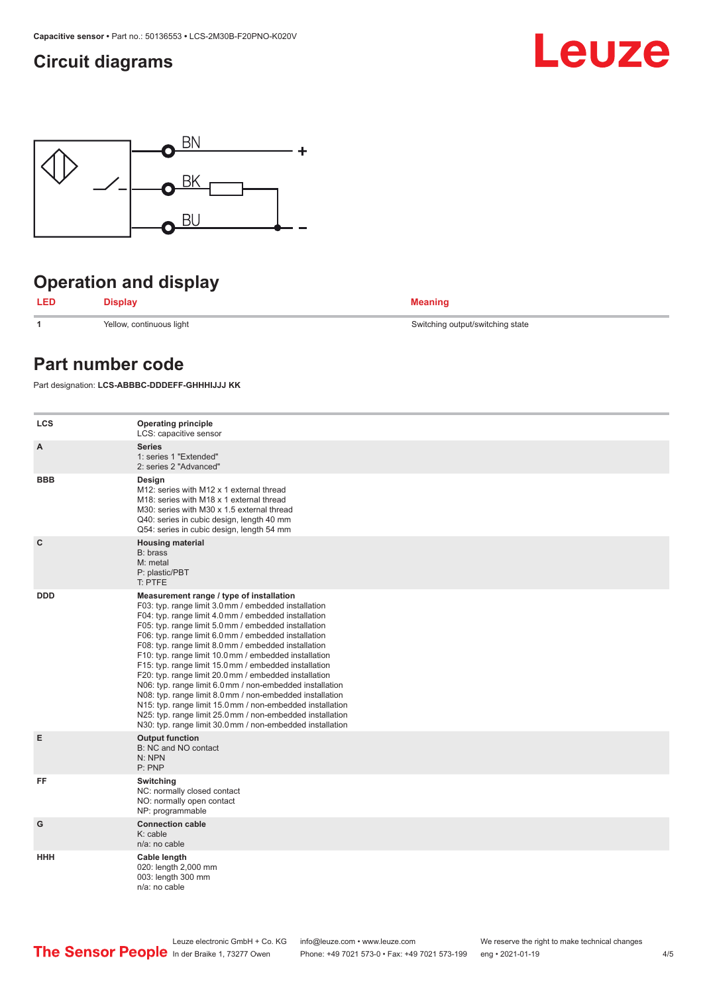### <span id="page-3-0"></span>**Circuit diagrams**





# **Operation and display**



**1** Yellow, continuous light Switching output/switching state

### **Part number code**

Part designation: **LCS-ABBBC-DDDEFF-GHHHIJJJ KK**

| <b>LCS</b>  | <b>Operating principle</b><br>LCS: capacitive sensor                                                                                                                                                                                                                                                                                                                                                                                                                                                                                                                                                                                                                                                                                                                                                                       |
|-------------|----------------------------------------------------------------------------------------------------------------------------------------------------------------------------------------------------------------------------------------------------------------------------------------------------------------------------------------------------------------------------------------------------------------------------------------------------------------------------------------------------------------------------------------------------------------------------------------------------------------------------------------------------------------------------------------------------------------------------------------------------------------------------------------------------------------------------|
| A           | <b>Series</b><br>1: series 1 "Extended"<br>2: series 2 "Advanced"                                                                                                                                                                                                                                                                                                                                                                                                                                                                                                                                                                                                                                                                                                                                                          |
| <b>BBB</b>  | Design<br>M12: series with M12 x 1 external thread<br>M <sub>18</sub> : series with M <sub>18</sub> x 1 external thread<br>M30: series with M30 x 1.5 external thread<br>Q40: series in cubic design, length 40 mm<br>Q54: series in cubic design, length 54 mm                                                                                                                                                                                                                                                                                                                                                                                                                                                                                                                                                            |
| $\mathbf c$ | <b>Housing material</b><br>B: brass<br>M: metal<br>P: plastic/PBT<br>T: PTFE                                                                                                                                                                                                                                                                                                                                                                                                                                                                                                                                                                                                                                                                                                                                               |
| <b>DDD</b>  | Measurement range / type of installation<br>F03: typ. range limit 3.0 mm / embedded installation<br>F04: typ. range limit 4.0 mm / embedded installation<br>F05: typ. range limit 5.0 mm / embedded installation<br>F06: typ. range limit 6.0 mm / embedded installation<br>F08: typ. range limit 8.0 mm / embedded installation<br>F10: typ. range limit 10.0 mm / embedded installation<br>F15: typ. range limit 15.0 mm / embedded installation<br>F20: typ. range limit 20.0 mm / embedded installation<br>N06: typ. range limit 6.0 mm / non-embedded installation<br>N08: typ. range limit 8.0 mm / non-embedded installation<br>N15: typ. range limit 15.0 mm / non-embedded installation<br>N25: typ. range limit 25.0 mm / non-embedded installation<br>N30: typ. range limit 30.0 mm / non-embedded installation |
| E           | <b>Output function</b><br>B: NC and NO contact<br>N: NPN<br>P: PNP                                                                                                                                                                                                                                                                                                                                                                                                                                                                                                                                                                                                                                                                                                                                                         |
| FF          | Switching<br>NC: normally closed contact<br>NO: normally open contact<br>NP: programmable                                                                                                                                                                                                                                                                                                                                                                                                                                                                                                                                                                                                                                                                                                                                  |
| G           | <b>Connection cable</b><br>$K:$ cable<br>n/a: no cable                                                                                                                                                                                                                                                                                                                                                                                                                                                                                                                                                                                                                                                                                                                                                                     |
| <b>HHH</b>  | Cable length<br>020: length 2,000 mm<br>003: length 300 mm<br>n/a: no cable                                                                                                                                                                                                                                                                                                                                                                                                                                                                                                                                                                                                                                                                                                                                                |